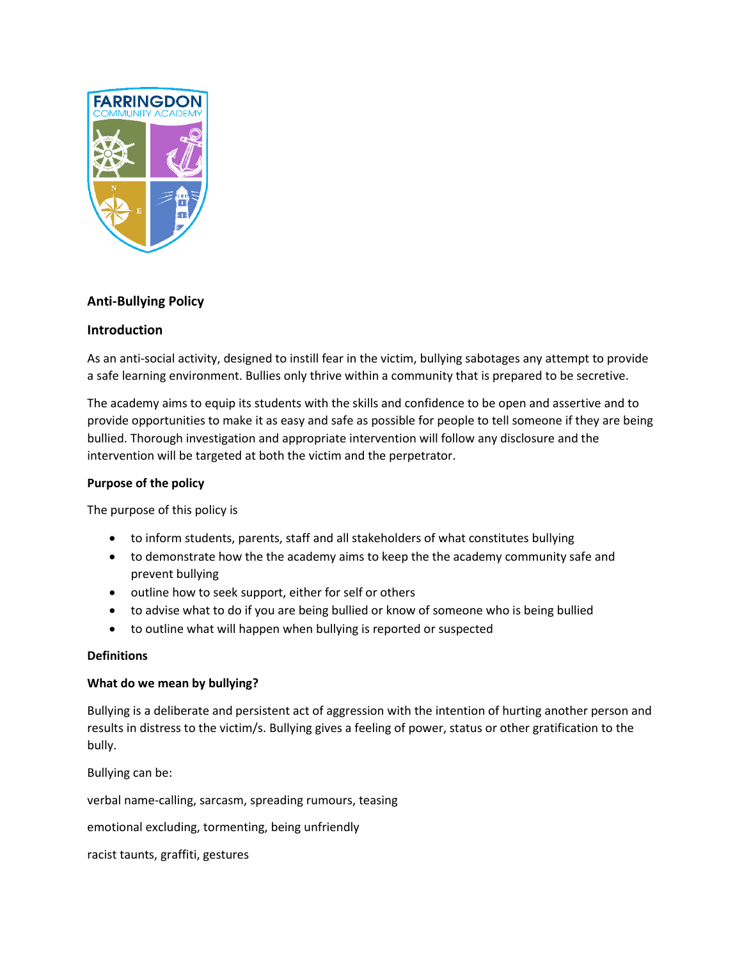

# **Anti-Bullying Policy**

## **Introduction**

As an anti-social activity, designed to instill fear in the victim, bullying sabotages any attempt to provide a safe learning environment. Bullies only thrive within a community that is prepared to be secretive.

The academy aims to equip its students with the skills and confidence to be open and assertive and to provide opportunities to make it as easy and safe as possible for people to tell someone if they are being bullied. Thorough investigation and appropriate intervention will follow any disclosure and the intervention will be targeted at both the victim and the perpetrator.

## **Purpose of the policy**

The purpose of this policy is

- to inform students, parents, staff and all stakeholders of what constitutes bullying
- to demonstrate how the the academy aims to keep the the academy community safe and prevent bullying
- outline how to seek support, either for self or others
- to advise what to do if you are being bullied or know of someone who is being bullied
- to outline what will happen when bullying is reported or suspected

## **Definitions**

## **What do we mean by bullying?**

Bullying is a deliberate and persistent act of aggression with the intention of hurting another person and results in distress to the victim/s. Bullying gives a feeling of power, status or other gratification to the bully.

Bullying can be:

verbal name-calling, sarcasm, spreading rumours, teasing

emotional excluding, tormenting, being unfriendly

racist taunts, graffiti, gestures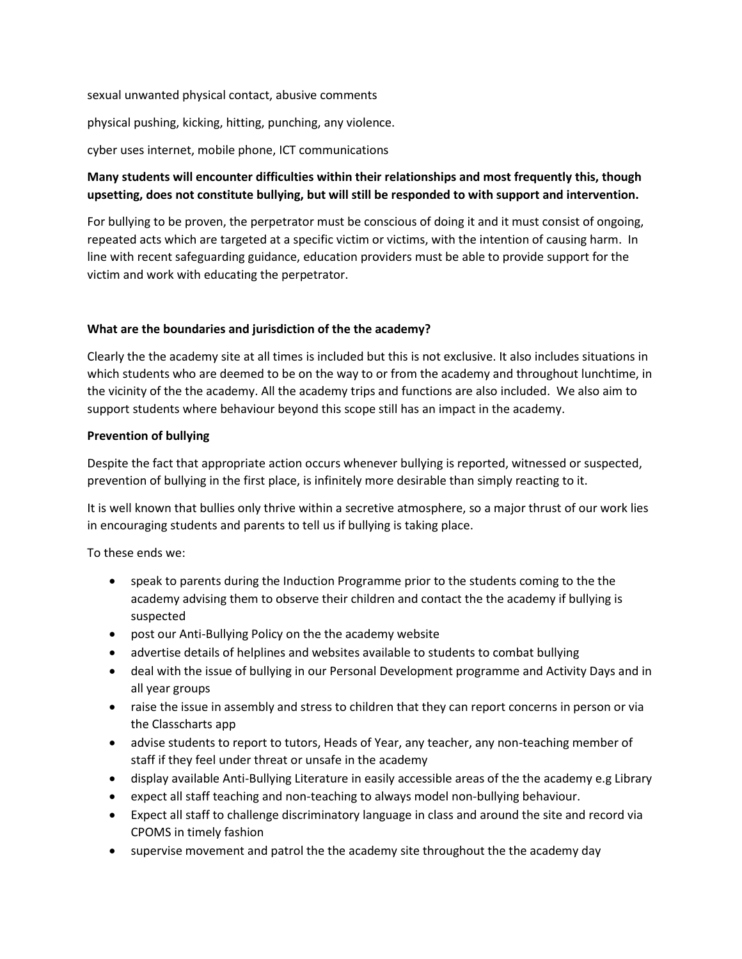sexual unwanted physical contact, abusive comments

physical pushing, kicking, hitting, punching, any violence.

cyber uses internet, mobile phone, ICT communications

# **Many students will encounter difficulties within their relationships and most frequently this, though upsetting, does not constitute bullying, but will still be responded to with support and intervention.**

For bullying to be proven, the perpetrator must be conscious of doing it and it must consist of ongoing, repeated acts which are targeted at a specific victim or victims, with the intention of causing harm. In line with recent safeguarding guidance, education providers must be able to provide support for the victim and work with educating the perpetrator.

## **What are the boundaries and jurisdiction of the the academy?**

Clearly the the academy site at all times is included but this is not exclusive. It also includes situations in which students who are deemed to be on the way to or from the academy and throughout lunchtime, in the vicinity of the the academy. All the academy trips and functions are also included. We also aim to support students where behaviour beyond this scope still has an impact in the academy.

## **Prevention of bullying**

Despite the fact that appropriate action occurs whenever bullying is reported, witnessed or suspected, prevention of bullying in the first place, is infinitely more desirable than simply reacting to it.

It is well known that bullies only thrive within a secretive atmosphere, so a major thrust of our work lies in encouraging students and parents to tell us if bullying is taking place.

To these ends we:

- speak to parents during the Induction Programme prior to the students coming to the the academy advising them to observe their children and contact the the academy if bullying is suspected
- post our Anti-Bullying Policy on the the academy website
- advertise details of helplines and websites available to students to combat bullying
- deal with the issue of bullying in our Personal Development programme and Activity Days and in all year groups
- raise the issue in assembly and stress to children that they can report concerns in person or via the Classcharts app
- advise students to report to tutors, Heads of Year, any teacher, any non-teaching member of staff if they feel under threat or unsafe in the academy
- display available Anti-Bullying Literature in easily accessible areas of the the academy e.g Library
- expect all staff teaching and non-teaching to always model non-bullying behaviour.
- Expect all staff to challenge discriminatory language in class and around the site and record via CPOMS in timely fashion
- supervise movement and patrol the the academy site throughout the the academy day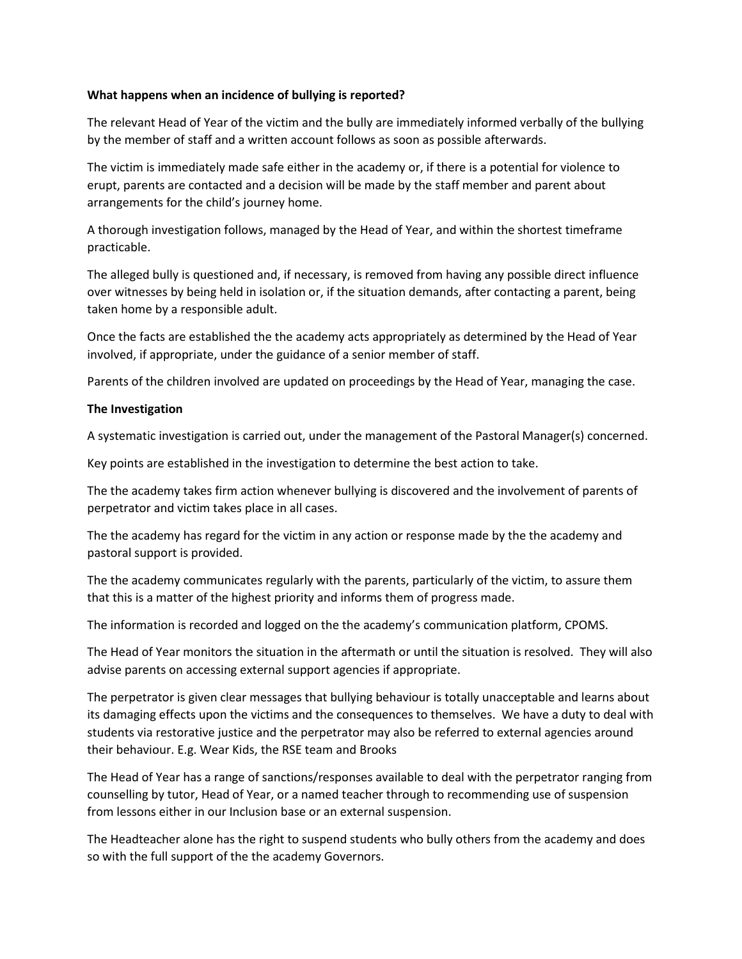#### **What happens when an incidence of bullying is reported?**

The relevant Head of Year of the victim and the bully are immediately informed verbally of the bullying by the member of staff and a written account follows as soon as possible afterwards.

The victim is immediately made safe either in the academy or, if there is a potential for violence to erupt, parents are contacted and a decision will be made by the staff member and parent about arrangements for the child's journey home.

A thorough investigation follows, managed by the Head of Year, and within the shortest timeframe practicable.

The alleged bully is questioned and, if necessary, is removed from having any possible direct influence over witnesses by being held in isolation or, if the situation demands, after contacting a parent, being taken home by a responsible adult.

Once the facts are established the the academy acts appropriately as determined by the Head of Year involved, if appropriate, under the guidance of a senior member of staff.

Parents of the children involved are updated on proceedings by the Head of Year, managing the case.

## **The Investigation**

A systematic investigation is carried out, under the management of the Pastoral Manager(s) concerned.

Key points are established in the investigation to determine the best action to take.

The the academy takes firm action whenever bullying is discovered and the involvement of parents of perpetrator and victim takes place in all cases.

The the academy has regard for the victim in any action or response made by the the academy and pastoral support is provided.

The the academy communicates regularly with the parents, particularly of the victim, to assure them that this is a matter of the highest priority and informs them of progress made.

The information is recorded and logged on the the academy's communication platform, CPOMS.

The Head of Year monitors the situation in the aftermath or until the situation is resolved. They will also advise parents on accessing external support agencies if appropriate.

The perpetrator is given clear messages that bullying behaviour is totally unacceptable and learns about its damaging effects upon the victims and the consequences to themselves. We have a duty to deal with students via restorative justice and the perpetrator may also be referred to external agencies around their behaviour. E.g. Wear Kids, the RSE team and Brooks

The Head of Year has a range of sanctions/responses available to deal with the perpetrator ranging from counselling by tutor, Head of Year, or a named teacher through to recommending use of suspension from lessons either in our Inclusion base or an external suspension.

The Headteacher alone has the right to suspend students who bully others from the academy and does so with the full support of the the academy Governors.